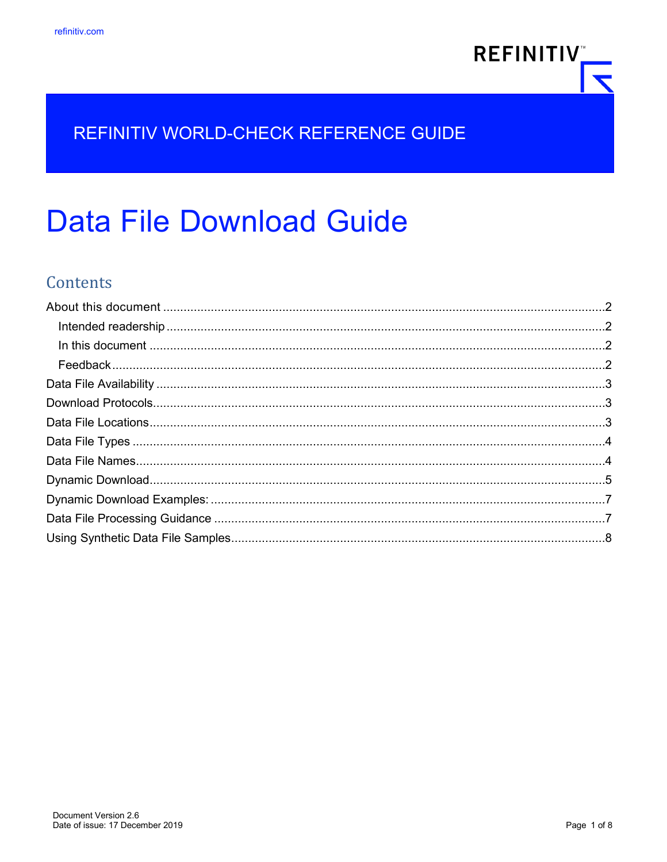

# **Data File Download Guide**

## **Contents**

**REFINITIV**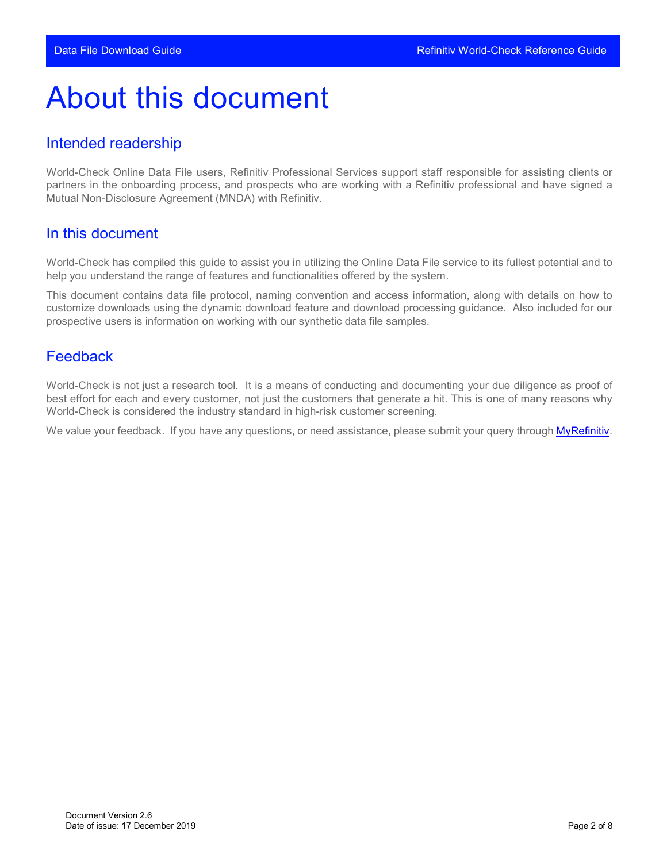## <span id="page-1-0"></span>About this document

#### <span id="page-1-1"></span>Intended readership

World-Check Online Data File users, Refinitiv Professional Services support staff responsible for assisting clients or partners in the onboarding process, and prospects who are working with a Refinitiv professional and have signed a Mutual Non-Disclosure Agreement (MNDA) with Refinitiv.

#### <span id="page-1-2"></span>In this document

World-Check has compiled this guide to assist you in utilizing the Online Data File service to its fullest potential and to help you understand the range of features and functionalities offered by the system.

This document contains data file protocol, naming convention and access information, along with details on how to customize downloads using the dynamic download feature and download processing guidance. Also included for our prospective users is information on working with our synthetic data file samples.

#### <span id="page-1-3"></span>Feedback

World-Check is not just a research tool. It is a means of conducting and documenting your due diligence as proof of best effort for each and every customer, not just the customers that generate a hit. This is one of many reasons why World-Check is considered the industry standard in high-risk customer screening.

We value your feedback. If you have any questions, or need assistance, please submit your query through [MyRefinitiv.](https://my.refinitiv.com/content/mytr/en/productsupport.html)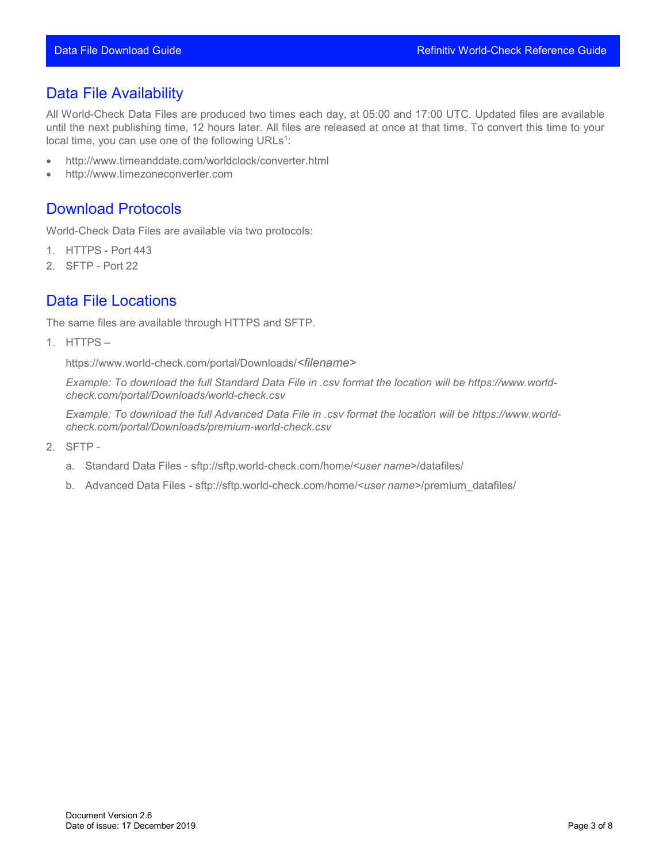#### <span id="page-2-0"></span>Data File Availability

All World-Check Data Files are produced two times each day, at 05:00 and 17:00 UTC. Updated files are available until the next publishing time, 12 hours later. All files are released at once at that time. To convert this time to your local time, you can use one of the following URLs<sup>1</sup>:

- <http://www.timeanddate.com/worldclock/converter.html>
- <span id="page-2-1"></span>• [http://www.timezoneconverter.com](http://www.timezoneconverter.com/)

#### Download Protocols

World-Check Data Files are available via two protocols:

- 1. HTTPS Port 443
- <span id="page-2-2"></span>2. SFTP - Port 22

#### Data File Locations

The same files are available through HTTPS and SFTP.

1. HTTPS –

https:/[/www.world-check.com/portal/Downloads/](http://www.world-check.com/portal/Downloads/)*<filename>*

*Example: To download the full Standard Data File in .csv format the location will be https:/[/www.world](http://www.world-check.com/portal/Downloads/)[check.com/portal/Downloads/w](http://www.world-check.com/portal/Downloads/)orld-check.csv*

*Example: To download the full Advanced Data File in .csv format the location will be https:/[/www.world](http://www.world-check.com/portal/Downloads/)[check.com/portal/Downloads/p](http://www.world-check.com/portal/Downloads/)remium-world-check.csv*

- 2. SFTP
	- a. Standard Data Files sftp://sftp.world-check.com/home/<*user name*>/datafiles/
	- b. Advanced Data Files sftp://sftp.world-check.com/home/<*user name*>/premium\_datafiles/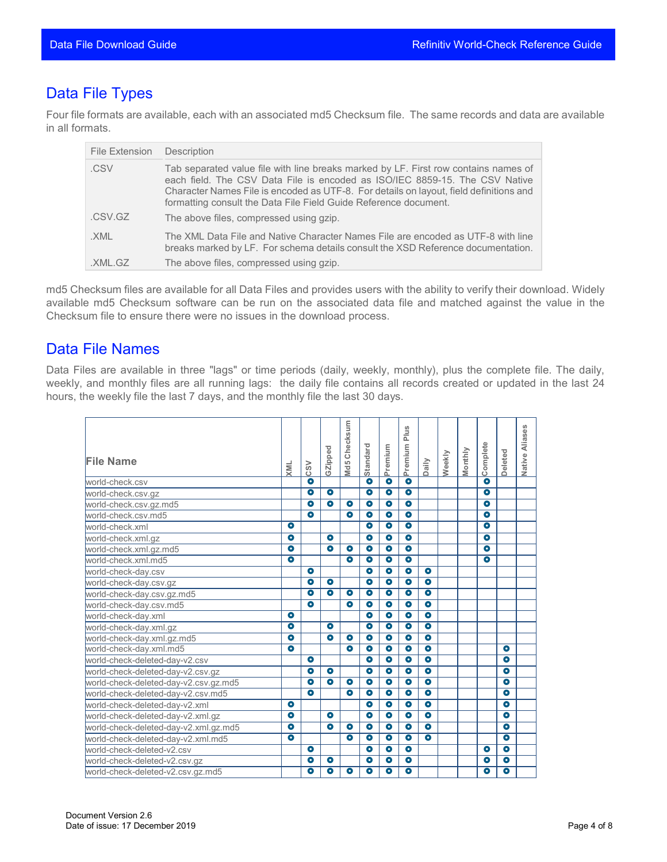### <span id="page-3-0"></span>Data File Types

Four file formats are available, each with an associated md5 Checksum file. The same records and data are available in all formats.

| File Extension | Description                                                                                                                                                                                                                                                                                                                      |
|----------------|----------------------------------------------------------------------------------------------------------------------------------------------------------------------------------------------------------------------------------------------------------------------------------------------------------------------------------|
| .CSV           | Tab separated value file with line breaks marked by LF. First row contains names of<br>each field. The CSV Data File is encoded as ISO/IEC 8859-15. The CSV Native<br>Character Names File is encoded as UTF-8. For details on layout, field definitions and<br>formatting consult the Data File Field Guide Reference document. |
| .CSV.GZ        | The above files, compressed using gzip.                                                                                                                                                                                                                                                                                          |
| .XML           | The XML Data File and Native Character Names File are encoded as UTF-8 with line<br>breaks marked by LF. For schema details consult the XSD Reference documentation.                                                                                                                                                             |
| .XML.GZ        | The above files, compressed using gzip.                                                                                                                                                                                                                                                                                          |

md5 Checksum files are available for all Data Files and provides users with the ability to verify their download. Widely available md5 Checksum software can be run on the associated data file and matched against the value in the Checksum file to ensure there were no issues in the download process.

#### <span id="page-3-1"></span>Data File Names

Data Files are available in three "lags" or time periods (daily, weekly, monthly), plus the complete file. The daily, weekly, and monthly files are all running lags: the daily file contains all records created or updated in the last 24 hours, the weekly file the last 7 days, and the monthly file the last 30 days.

| <b>File Name</b>                      | XML       | $\mathsf{cs}\mathsf{v}$ | GZipped              | Md5 Checksum         | Standard             | Premium              | Plus<br>Premium      | Daily                | Weekly | Monthly | Complete             | <b>Deleted</b>       | S)<br>Aliase<br>Native |
|---------------------------------------|-----------|-------------------------|----------------------|----------------------|----------------------|----------------------|----------------------|----------------------|--------|---------|----------------------|----------------------|------------------------|
| world-check.csv                       |           | $\bullet$               |                      |                      | $\bullet$            | $\overline{\bullet}$ | $\bullet$            |                      |        |         | $\bullet$            |                      |                        |
| world-check.csv.gz                    |           | $\bullet$               | $\bullet$            |                      | $\bullet$            | $\overline{\bullet}$ | $\bullet$            |                      |        |         | $\bullet$            |                      |                        |
| world-check.csv.gz.md5                |           | $\overline{\bullet}$    | $\overline{\bullet}$ | $\overline{\bullet}$ | $\overline{\bullet}$ | $\overline{\bullet}$ | $\overline{\bullet}$ |                      |        |         | $\overline{\bullet}$ |                      |                        |
| world-check.csv.md5                   |           | $\bullet$               |                      | $\bullet$            | $\bullet$            | $\bullet$            | $\bullet$            |                      |        |         | $\bullet$            |                      |                        |
| world-check.xml                       | $\bullet$ |                         |                      |                      | $\bullet$            | $\bullet$            | $\bullet$            |                      |        |         | $\bullet$            |                      |                        |
| world-check.xml.gz                    | $\bullet$ |                         | $\bullet$            |                      | $\bullet$            | $\bullet$            | $\bullet$            |                      |        |         | $\bullet$            |                      |                        |
| world-check.xml.gz.md5                | $\bullet$ |                         | $\bullet$            | $\bullet$            | $\bullet$            | $\overline{\bullet}$ | $\bullet$            |                      |        |         | $\bullet$            |                      |                        |
| world-check.xml.md5                   | $\bullet$ |                         |                      | $\bullet$            | $\bullet$            | $\bullet$            | $\bullet$            |                      |        |         | $\bullet$            |                      |                        |
| world-check-day.csv                   |           | $\bullet$               |                      |                      | $\overline{\bullet}$ | $\overline{\bullet}$ | $\overline{\bullet}$ | $\bullet$            |        |         |                      |                      |                        |
| world-check-day.csv.gz                |           | $\bullet$               | $\bullet$            |                      | $\bullet$            | $\overline{\bullet}$ | $\overline{\bullet}$ | $\overline{\bullet}$ |        |         |                      |                      |                        |
| world-check-day.csv.gz.md5            |           | $\bullet$               | $\bullet$            | $\bullet$            | $\bullet$            | $\bullet$            | $\bullet$            | $\bullet$            |        |         |                      |                      |                        |
| world-check-day.csv.md5               |           | $\bullet$               |                      | $\bullet$            | $\bullet$            | $\overline{\bullet}$ | $\overline{\bullet}$ | $\bullet$            |        |         |                      |                      |                        |
| world-check-day.xml                   | $\bullet$ |                         |                      |                      | $\bullet$            | $\overline{\bullet}$ | $\overline{\bullet}$ | $\overline{\bullet}$ |        |         |                      |                      |                        |
| world-check-day.xml.qz                | $\bullet$ |                         | $\bullet$            |                      | $\bullet$            | $\bullet$            | $\bullet$            | $\bullet$            |        |         |                      |                      |                        |
| world-check-day.xml.gz.md5            | $\bullet$ |                         | $\bullet$            | $\bullet$            | $\bullet$            | $\bullet$            | $\bullet$            | $\bullet$            |        |         |                      |                      |                        |
| world-check-day.xml.md5               | $\bullet$ |                         |                      | $\bullet$            | $\bullet$            | $\bullet$            | $\bullet$            | $\bullet$            |        |         |                      | $\bullet$            |                        |
| world-check-deleted-day-v2.csv        |           | $\bullet$               |                      |                      | $\bullet$            | $\bullet$            | $\bullet$            | $\bullet$            |        |         |                      | $\bullet$            |                        |
| world-check-deleted-day-v2.csv.gz     |           | $\bullet$               | $\bullet$            |                      | $\bullet$            | $\bullet$            | $\bullet$            | $\bullet$            |        |         |                      | $\bullet$            |                        |
| world-check-deleted-day-v2.csv.gz.md5 |           | $\bullet$               | $\overline{\bullet}$ | $\bullet$            | $\bullet$            | $\overline{\bullet}$ | $\overline{\bullet}$ | $\overline{\bullet}$ |        |         |                      | $\bullet$            |                        |
| world-check-deleted-day-v2.csv.md5    |           | $\bullet$               |                      | $\bullet$            | $\bullet$            | $\bullet$            | $\bullet$            | $\bullet$            |        |         |                      | $\bullet$            |                        |
| world-check-deleted-day-v2.xml        | $\bullet$ |                         |                      |                      | $\bullet$            | $\overline{\bullet}$ | $\bullet$            | $\overline{\bullet}$ |        |         |                      | $\bullet$            |                        |
| world-check-deleted-day-v2.xml.gz     | $\bullet$ |                         | $\bullet$            |                      | $\bullet$            | $\bullet$            | $\bullet$            | $\bullet$            |        |         |                      | $\bullet$            |                        |
| world-check-deleted-day-v2.xml.gz.md5 | $\bullet$ |                         | $\bullet$            | $\bullet$            | $\bullet$            | $\bullet$            | $\bullet$            | $\bullet$            |        |         |                      | $\bullet$            |                        |
| world-check-deleted-day-v2.xml.md5    | $\bullet$ |                         |                      | $\bullet$            | $\bullet$            | $\bullet$            | $\bullet$            | $\bullet$            |        |         |                      | $\bullet$            |                        |
| world-check-deleted-v2.csv            |           | $\bullet$               |                      |                      | $\overline{\bullet}$ | $\overline{\bullet}$ | $\overline{\bullet}$ |                      |        |         | $\bullet$            | $\overline{\bullet}$ |                        |
| world-check-deleted-v2.csv.gz         |           | $\bullet$               | $\bullet$            |                      | $\bullet$            | $\overline{\bullet}$ | $\overline{\bullet}$ |                      |        |         | $\bullet$            | $\overline{\bullet}$ |                        |
| world-check-deleted-v2.csv.gz.md5     |           | ۰                       | $\bullet$            | $\bullet$            | $\bullet$            | $\bullet$            | $\bullet$            |                      |        |         | $\bullet$            | $\bullet$            |                        |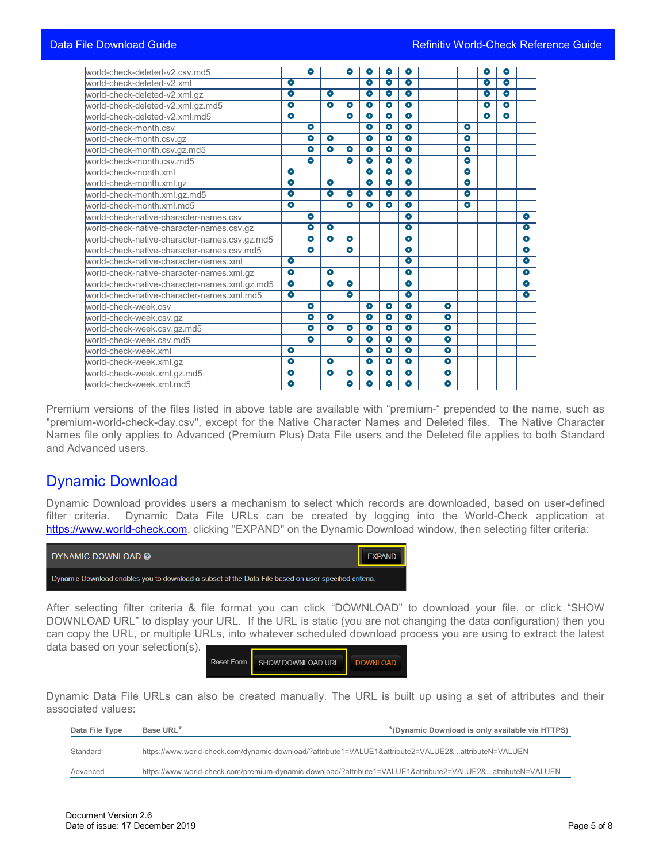| world-check-deleted-v2.csv.md5                |           | $\bullet$ |           | $\bullet$ | $\bullet$            | $\bullet$            | $\bullet$            |           |           | $\bullet$ | $\overline{\bullet}$ |                      |
|-----------------------------------------------|-----------|-----------|-----------|-----------|----------------------|----------------------|----------------------|-----------|-----------|-----------|----------------------|----------------------|
| world-check-deleted-v2.xml                    | $\bullet$ |           |           |           | $\bullet$            | $\bullet$            | $\bullet$            |           |           | $\bullet$ | $\bullet$            |                      |
| world-check-deleted-v2.xml.gz                 | $\bullet$ |           | $\bullet$ |           | $\overline{\bullet}$ | $\overline{\bullet}$ | $\overline{\bullet}$ |           |           | $\bullet$ | $\overline{\bullet}$ |                      |
| world-check-deleted-v2.xml.gz.md5             | $\bullet$ |           | $\bullet$ | $\bullet$ | $\overline{\bullet}$ | $\overline{\bullet}$ | $\overline{\bullet}$ |           |           | $\bullet$ | $\overline{\bullet}$ |                      |
| world-check-deleted-v2.xml.md5                | $\bullet$ |           |           | $\bullet$ | $\bullet$            | $\bullet$            | $\bullet$            |           |           | $\bullet$ | $\bullet$            |                      |
| world-check-month.csv                         |           | $\bullet$ |           |           | $\bullet$            | $\bullet$            | $\bullet$            |           | $\bullet$ |           |                      |                      |
| world-check-month.csv.gz                      |           | ۰         | $\bullet$ |           | $\bullet$            | $\bullet$            | $\bullet$            |           | $\bullet$ |           |                      |                      |
| world-check-month.csv.gz.md5                  |           | $\bullet$ | $\bullet$ | $\bullet$ | $\bullet$            | $\bullet$            | $\bullet$            |           | $\bullet$ |           |                      |                      |
| world-check-month.csv.md5                     |           | $\bullet$ |           | $\bullet$ | $\bullet$            | $\bullet$            | $\bullet$            |           | $\bullet$ |           |                      |                      |
| world-check-month.xml                         | $\bullet$ |           |           |           | $\bullet$            | $\bullet$            | $\bullet$            |           | $\bullet$ |           |                      |                      |
| world-check-month.xml.gz                      | $\bullet$ |           | $\bullet$ |           | $\bullet$            | $\bullet$            | $\bullet$            |           | $\bullet$ |           |                      |                      |
| world-check-month.xml.gz.md5                  | $\bullet$ |           | $\bullet$ | $\bullet$ | $\overline{\bullet}$ | $\overline{\bullet}$ | $\overline{\bullet}$ |           | $\bullet$ |           |                      |                      |
| world-check-month.xml.md5                     | $\bullet$ |           |           | $\bullet$ | $\bullet$            | $\bullet$            | $\bullet$            |           | $\bullet$ |           |                      |                      |
| world-check-native-character-names.csv        |           | $\bullet$ |           |           |                      |                      | $\bullet$            |           |           |           |                      | $\bullet$            |
| world-check-native-character-names.csv.gz     |           | $\bullet$ | $\bullet$ |           |                      |                      | $\bullet$            |           |           |           |                      | $\bullet$            |
| world-check-native-character-names.csv.gz.md5 |           | $\bullet$ | $\bullet$ | $\bullet$ |                      |                      | $\bullet$            |           |           |           |                      | $\bullet$            |
| world-check-native-character-names.csv.md5    |           | $\bullet$ |           | $\bullet$ |                      |                      | $\bullet$            |           |           |           |                      | $\bullet$            |
| world-check-native-character-names.xml        | $\bullet$ |           |           |           |                      |                      | $\bullet$            |           |           |           |                      | $\bullet$            |
| world-check-native-character-names.xml.gz     | $\bullet$ |           | $\bullet$ |           |                      |                      | $\bullet$            |           |           |           |                      | $\overline{\bullet}$ |
| world-check-native-character-names.xml.gz.md5 | $\bullet$ |           | $\bullet$ | $\bullet$ |                      |                      | $\bullet$            |           |           |           |                      | $\bullet$            |
| world-check-native-character-names.xml.md5    | $\bullet$ |           |           | $\bullet$ |                      |                      | $\bullet$            |           |           |           |                      | $\bullet$            |
| world-check-week.csv                          |           | $\bullet$ |           |           | $\bullet$            | $\bullet$            | $\bullet$            | $\bullet$ |           |           |                      |                      |
| world-check-week.csv.gz                       |           | $\bullet$ | $\bullet$ |           | $\bullet$            | $\bullet$            | $\bullet$            | $\bullet$ |           |           |                      |                      |
| world-check-week.csv.gz.md5                   |           | $\bullet$ | $\bullet$ | $\bullet$ | $\bullet$            | $\bullet$            | $\bullet$            | $\bullet$ |           |           |                      |                      |
| world-check-week.csv.md5                      |           | $\bullet$ |           | $\bullet$ | $\bullet$            | $\bullet$            | $\bullet$            | $\bullet$ |           |           |                      |                      |
| world-check-week.xml                          | $\bullet$ |           |           |           | $\overline{\bullet}$ | $\overline{\bullet}$ | $\overline{\bullet}$ | $\bullet$ |           |           |                      |                      |
| world-check-week.xml.gz                       | $\bullet$ |           | $\bullet$ |           | $\bullet$            | $\bullet$            | $\bullet$            | $\bullet$ |           |           |                      |                      |
| world-check-week.xml.gz.md5                   | $\bullet$ |           | $\bullet$ | $\bullet$ | $\bullet$            | $\bullet$            | $\bullet$            | $\bullet$ |           |           |                      |                      |
| world-check-week.xml.md5                      | $\bullet$ |           |           | $\bullet$ | $\bullet$            | $\bullet$            | $\bullet$            | $\bullet$ |           |           |                      |                      |

Premium versions of the files listed in above table are available with "premium-" prepended to the name, such as "premium-world-check-day.csv", except for the Native Character Names and Deleted files. The Native Character Names file only applies to Advanced (Premium Plus) Data File users and the Deleted file applies to both Standard and Advanced users.

#### <span id="page-4-0"></span>Dynamic Download

Dynamic Download provides users a mechanism to select which records are downloaded, based on user-defined filter criteria. Dynamic Data File URLs can be created by logging into the World-Check application at [https://www.world-check.com,](https://www.world-check.com/) clicking "EXPAND" on the Dynamic Download window, then selecting filter criteria:



After selecting filter criteria & file format you can click "DOWNLOAD" to download your file, or click "SHOW DOWNLOAD URL" to display your URL. If the URL is static (you are not changing the data configuration) then you can copy the URL, or multiple URLs, into whatever scheduled download process you are using to extract the latest data based on your selection(s).



Dynamic Data File URLs can also be created manually. The URL is built up using a set of attributes and their associated values:

| Data File Type | Base URL*                                                                                                   | *(Dynamic Download is only available via HTTPS) |
|----------------|-------------------------------------------------------------------------------------------------------------|-------------------------------------------------|
|                | https://www.world-check.com/dynamic-download/?attribute1=VALUE1&attribute2=VALUE2&attributeN=VALUEN         |                                                 |
| Standard       |                                                                                                             |                                                 |
| Advanced       | https://www.world-check.com/premium-dynamic-download/?attribute1=VALUE1&attribute2=VALUE2&attributeN=VALUEN |                                                 |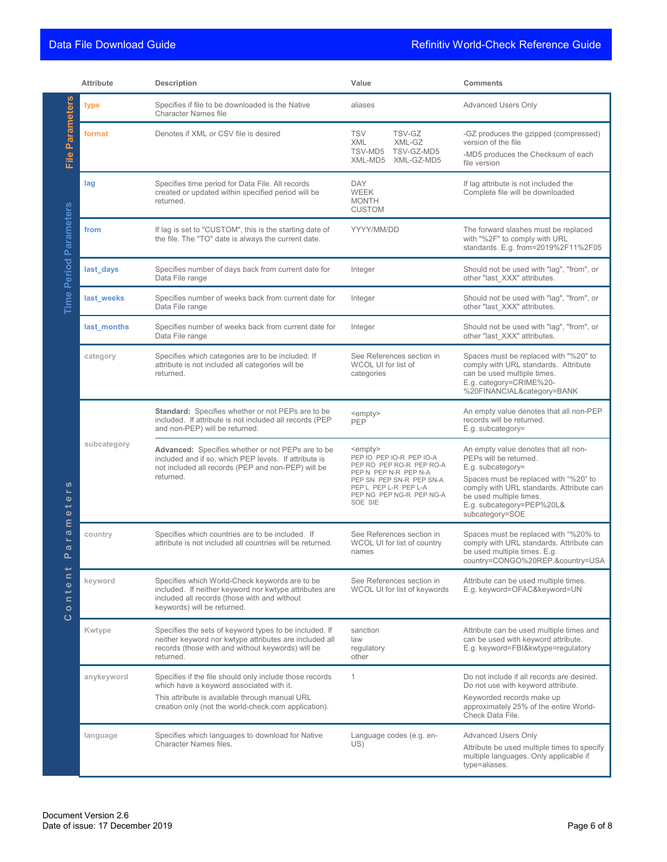|                                                                                 | <b>Attribute</b> | Description                                                                                                                                                                                                   | Value                                                                                                                                                                                               | <b>Comments</b>                                                                                                                                                                                                                                     |
|---------------------------------------------------------------------------------|------------------|---------------------------------------------------------------------------------------------------------------------------------------------------------------------------------------------------------------|-----------------------------------------------------------------------------------------------------------------------------------------------------------------------------------------------------|-----------------------------------------------------------------------------------------------------------------------------------------------------------------------------------------------------------------------------------------------------|
|                                                                                 | type             | Specifies if file to be downloaded is the Native<br><b>Character Names file</b>                                                                                                                               | aliases                                                                                                                                                                                             | <b>Advanced Users Only</b>                                                                                                                                                                                                                          |
| File Parameters                                                                 | format           | Denotes if XML or CSV file is desired                                                                                                                                                                         | <b>TSV</b><br>TSV-GZ<br>XML-GZ<br><b>XML</b><br>TSV-MD5<br>TSV-GZ-MD5<br>XML-MD5 XML-GZ-MD5                                                                                                         | -GZ produces the gzipped (compressed)<br>version of the file<br>-MD5 produces the Checksum of each<br>file version                                                                                                                                  |
|                                                                                 | lag              | Specifies time period for Data File. All records<br>created or updated within specified period will be<br>returned.                                                                                           | <b>DAY</b><br>WEEK<br><b>MONTH</b><br><b>CUSTOM</b>                                                                                                                                                 | If lag attribute is not included the<br>Complete file will be downloaded                                                                                                                                                                            |
| Time Period Parameters                                                          | from             | If lag is set to "CUSTOM", this is the starting date of<br>the file. The "TO" date is always the current date.                                                                                                | YYYY/MM/DD                                                                                                                                                                                          | The forward slashes must be replaced<br>with "%2F" to comply with URL<br>standards. E.g. from=2019%2F11%2F05                                                                                                                                        |
|                                                                                 | last_days        | Specifies number of days back from current date for<br>Data File range                                                                                                                                        | Integer                                                                                                                                                                                             | Should not be used with "lag", "from", or<br>other "last XXX" attributes.                                                                                                                                                                           |
|                                                                                 | last_weeks       | Specifies number of weeks back from current date for<br>Data File range                                                                                                                                       | Integer                                                                                                                                                                                             | Should not be used with "laq", "from", or<br>other "last XXX" attributes.                                                                                                                                                                           |
|                                                                                 | last months      | Specifies number of weeks back from current date for<br>Data File range                                                                                                                                       | Integer                                                                                                                                                                                             | Should not be used with "lag", "from", or<br>other "last_XXX" attributes.                                                                                                                                                                           |
| ဖာ<br>s.<br>$\bullet$<br>پ<br>$\bullet$                                         | category         | Specifies which categories are to be included. If<br>attribute is not included all categories will be<br>returned.                                                                                            | See References section in<br>WCOL UI for list of<br>categories                                                                                                                                      | Spaces must be replaced with "%20" to<br>comply with URL standards. Attribute<br>can be used multiple times.<br>E.g. category=CRIME%20-<br>%20FINANCIAL&category=BANK                                                                               |
|                                                                                 |                  | <b>Standard:</b> Specifies whether or not PEPs are to be<br>included. If attribute is not included all records (PEP<br>and non-PEP) will be returned.                                                         | <empty><br/><b>PEP</b></empty>                                                                                                                                                                      | An empty value denotes that all non-PEP<br>records will be returned.<br>E.g. subcategory=                                                                                                                                                           |
|                                                                                 | subcategory      | Advanced: Specifies whether or not PEPs are to be<br>included and if so, which PEP levels. If attribute is<br>not included all records (PEP and non-PEP) will be<br>returned.                                 | <empty><br/>PEP IO PEP IO-R PEP IO-A<br/>PEP RO PEP RO-R PEP RO-A<br/>PEP N PEP N-R PEP N-A<br/>PEP SN PEP SN-R PEP SN-A<br/>PEP L PEP L-R PEP L-A<br/>PEP NG PEP NG-R PEP NG-A<br/>SOE SIE</empty> | An empty value denotes that all non-<br>PEPs will be returned.<br>E.g. subcategory=<br>Spaces must be replaced with "%20" to<br>comply with URL standards. Attribute can<br>be used multiple times.<br>E.g. subcategory=PEP%20L&<br>subcategory=SOE |
| E<br>$\boldsymbol{\varpi}$<br>$\blacksquare$<br>$\boldsymbol{\sigma}$<br>൨<br>پ | country          | Specifies which countries are to be included. If<br>attribute is not included all countries will be returned.                                                                                                 | See References section in<br>WCOL UI for list of country<br>names                                                                                                                                   | Spaces must be replaced with "%20% to<br>comply with URL standards. Attribute can<br>be used multiple times. E.q.<br>country=CONGO%20REP.&country=USA                                                                                               |
| $\blacksquare$<br>$\bullet$<br>$\frac{1}{\pi}$<br>$\bullet$<br>ပ                | keyword          | Specifies which World-Check keywords are to be<br>included. If neither keyword nor kwtype attributes are<br>included all records (those with and without<br>keywords) will be returned.                       | See References section in<br>WCOL UI for list of keywords                                                                                                                                           | Attribute can be used multiple times.<br>E.g. keyword=OFAC&keyword=UN                                                                                                                                                                               |
|                                                                                 | Kwtype           | Specifies the sets of keyword types to be included. If<br>neither keyword nor kwtype attributes are included all<br>records (those with and without keywords) will be<br>returned.                            | sanction<br>law<br>regulatory<br>other                                                                                                                                                              | Attribute can be used multiple times and<br>can be used with keyword attribute.<br>E.g. keyword=FBI&kwtype=regulatory                                                                                                                               |
|                                                                                 | anykeyword       | Specifies if the file should only include those records<br>which have a keyword associated with it.<br>This attribute is available through manual URL<br>creation only (not the world-check.com application). | $\mathbf{1}$                                                                                                                                                                                        | Do not include if all records are desired.<br>Do not use with keyword attribute.<br>Keyworded records make up<br>approximately 25% of the entire World-<br>Check Data File.                                                                         |
|                                                                                 | language         | Specifies which languages to download for Native<br>Character Names files.                                                                                                                                    | Language codes (e.g. en-<br>US)                                                                                                                                                                     | <b>Advanced Users Only</b><br>Attribute be used multiple times to specify<br>multiple languages. Only applicable if<br>type=aliases.                                                                                                                |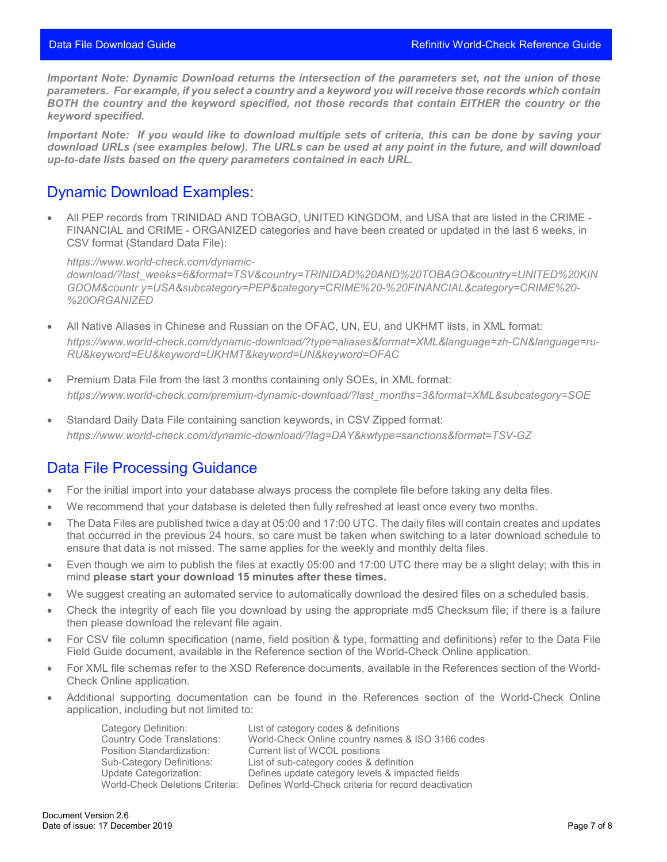*Important Note: Dynamic Download returns the intersection of the parameters set, not the union of those parameters. For example, if you select a country and a keyword you will receive those records which contain BOTH the country and the keyword specified, not those records that contain EITHER the country or the keyword specified.*

*Important Note: If you would like to download multiple sets of criteria, this can be done by saving your download URLs (see examples below). The URLs can be used at any point in the future, and will download up-to-date lists based on the query parameters contained in each URL.*

#### <span id="page-6-0"></span>Dynamic Download Examples:

• All PEP records from TRINIDAD AND TOBAGO, UNITED KINGDOM, and USA that are listed in the CRIME - FINANCIAL and CRIME - ORGANIZED categories and have been created or updated in the last 6 weeks, in CSV format (Standard Data File):

*https:/[/www.world-check.com/dynamic](http://www.world-check.com/dynamic-)download/?last\_weeks=6&format=TSV&country=TRINIDAD%20AND%20TOBAGO&country=UNITED%20KIN GDOM&countr y=USA&subcategory=PEP&category=CRIME%20-%20FINANCIAL&category=CRIME%20- %20ORGANIZED*

- All Native Aliases in Chinese and Russian on the OFAC, UN, EU, and UKHMT lists, in XML format: *https:/[/www.world-check.com/dynamic-download/?type=aliases&format=XML&language=zh-CN&language=ru-](http://www.world-check.com/dynamic-download/?type=aliases&format=XML&language=zh-CN&language=ru-)RU&keyword=EU&keyword=UKHMT&keyword=UN&keyword=OFAC*
- Premium Data File from the last 3 months containing only SOEs, in XML format: *https:/[/www.world-check.com/premium-dynamic-download/?last\\_months=3&format=XML&subcategory=SOE](http://www.world-check.com/premium-dynamic-download/?last_months=3&format=XML&subcategory=SOE)*
- Standard Daily Data File containing sanction keywords, in CSV Zipped format: *https://www.world-check.com/dynamic-download/?lag=DAY&kwtype=sanctions&format=TSV-GZ*

#### <span id="page-6-1"></span>Data File Processing Guidance

- For the initial import into your database always process the complete file before taking any delta files.
- We recommend that your database is deleted then fully refreshed at least once every two months.
- The Data Files are published twice a day at 05:00 and 17:00 UTC. The daily files will contain creates and updates that occurred in the previous 24 hours, so care must be taken when switching to a later download schedule to ensure that data is not missed. The same applies for the weekly and monthly delta files.
- Even though we aim to publish the files at exactly 05:00 and 17:00 UTC there may be a slight delay; with this in mind **please start your download 15 minutes after these times.**
- We suggest creating an automated service to automatically download the desired files on a scheduled basis.
- Check the integrity of each file you download by using the appropriate md5 Checksum file; if there is a failure then please download the relevant file again.
- For CSV file column specification (name, field position & type, formatting and definitions) refer to the Data File Field Guide document, available in the Reference section of the World-Check Online application.
- For XML file schemas refer to the XSD Reference documents, available in the References section of the World-Check Online application.
- Additional supporting documentation can be found in the References section of the World-Check Online application, including but not limited to:

Category Definition: List of category codes & definitions<br>
Country Code Translations: World-Check Online country names Country Code Translations: World-Check Online country names & ISO 3166 codes Current list of WCOL positions Sub-Category Definitions: List of sub-category codes & definition Defines update category levels & impacted fields World-Check Deletions Criteria: Defines World-Check criteria for record deactivation